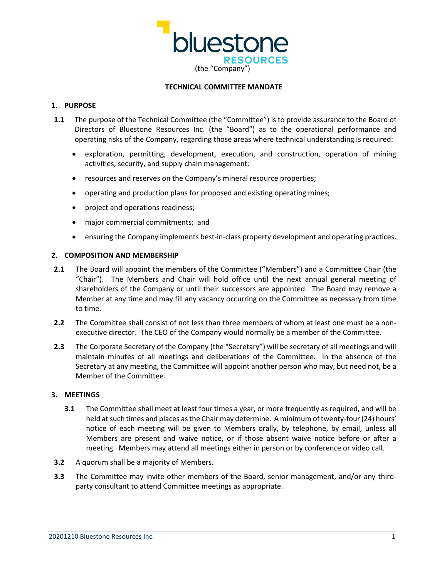

#### **TECHNICAL COMMITTEE MANDATE**

# **1. PURPOSE**

- **1.1** The purpose of the Technical Committee (the "Committee") is to provide assurance to the Board of Directors of Bluestone Resources Inc. (the "Board") as to the operational performance and operating risks of the Company, regarding those areas where technical understanding is required:
	- exploration, permitting, development, execution, and construction, operation of mining activities, security, and supply chain management;
	- resources and reserves on the Company's mineral resource properties;
	- operating and production plans for proposed and existing operating mines;
	- project and operations readiness;
	- major commercial commitments; and
	- ensuring the Company implements best-in-class property development and operating practices.

# **2. COMPOSITION AND MEMBERSHIP**

- **2.1** The Board will appoint the members of the Committee ("Members") and a Committee Chair (the "Chair"). The Members and Chair will hold office until the next annual general meeting of shareholders of the Company or until their successors are appointed. The Board may remove a Member at any time and may fill any vacancy occurring on the Committee as necessary from time to time.
- **2.2** The Committee shall consist of not less than three members of whom at least one must be a nonexecutive director. The CEO of the Company would normally be a member of the Committee.
- **2.3** The Corporate Secretary of the Company (the "Secretary") will be secretary of all meetings and will maintain minutes of all meetings and deliberations of the Committee. In the absence of the Secretary at any meeting, the Committee will appoint another person who may, but need not, be a Member of the Committee.

# **3. MEETINGS**

- **3.1** The Committee shall meet at least four times a year, or more frequently as required, and will be held at such times and places as the Chair may determine. A minimum of twenty-four (24) hours' notice of each meeting will be given to Members orally, by telephone, by email, unless all Members are present and waive notice, or if those absent waive notice before or after a meeting. Members may attend all meetings either in person or by conference or video call.
- **3.2** A quorum shall be a majority of Members.
- **3.3** The Committee may invite other members of the Board, senior management, and/or any thirdparty consultant to attend Committee meetings as appropriate.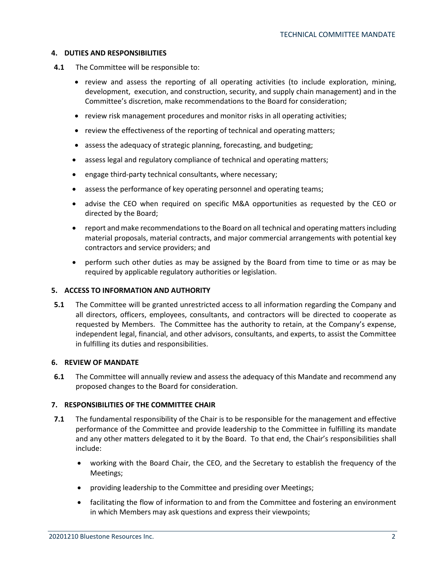### **4. DUTIES AND RESPONSIBILITIES**

- **4.1** The Committee will be responsible to:
	- review and assess the reporting of all operating activities (to include exploration, mining, development, execution, and construction, security, and supply chain management) and in the Committee's discretion, make recommendations to the Board for consideration;
	- review risk management procedures and monitor risks in all operating activities;
	- review the effectiveness of the reporting of technical and operating matters;
	- assess the adequacy of strategic planning, forecasting, and budgeting;
	- assess legal and regulatory compliance of technical and operating matters;
	- engage third-party technical consultants, where necessary;
	- assess the performance of key operating personnel and operating teams;
	- advise the CEO when required on specific M&A opportunities as requested by the CEO or directed by the Board;
	- report and make recommendations to the Board on all technical and operating mattersincluding material proposals, material contracts, and major commercial arrangements with potential key contractors and service providers; and
	- perform such other duties as may be assigned by the Board from time to time or as may be required by applicable regulatory authorities or legislation.

# **5. ACCESS TO INFORMATION AND AUTHORITY**

**5.1** The Committee will be granted unrestricted access to all information regarding the Company and all directors, officers, employees, consultants, and contractors will be directed to cooperate as requested by Members. The Committee has the authority to retain, at the Company's expense, independent legal, financial, and other advisors, consultants, and experts, to assist the Committee in fulfilling its duties and responsibilities.

# **6. REVIEW OF MANDATE**

**6.1** The Committee will annually review and assess the adequacy of this Mandate and recommend any proposed changes to the Board for consideration.

# **7. RESPONSIBILITIES OF THE COMMITTEE CHAIR**

- **7.1** The fundamental responsibility of the Chair is to be responsible for the management and effective performance of the Committee and provide leadership to the Committee in fulfilling its mandate and any other matters delegated to it by the Board. To that end, the Chair's responsibilities shall include:
	- working with the Board Chair, the CEO, and the Secretary to establish the frequency of the Meetings;
	- providing leadership to the Committee and presiding over Meetings;
	- facilitating the flow of information to and from the Committee and fostering an environment in which Members may ask questions and express their viewpoints;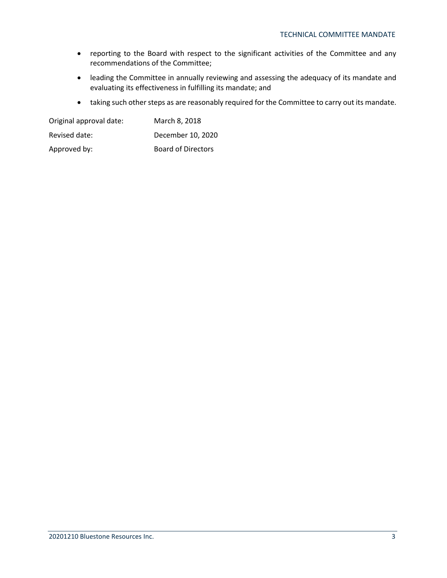- reporting to the Board with respect to the significant activities of the Committee and any recommendations of the Committee;
- leading the Committee in annually reviewing and assessing the adequacy of its mandate and evaluating its effectiveness in fulfilling its mandate; and
- taking such other steps as are reasonably required for the Committee to carry out its mandate.

| Original approval date: | March 8, 2018             |  |  |
|-------------------------|---------------------------|--|--|
| Revised date:           | December 10, 2020         |  |  |
| Approved by:            | <b>Board of Directors</b> |  |  |